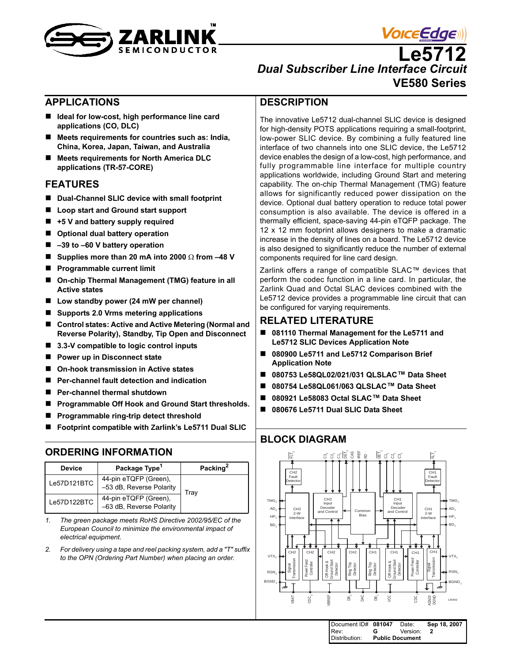



**Le5712** *Dual Subscriber Line Interface Circuit* **VE580 Series**

#### <span id="page-0-0"></span>**APPLICATIONS**

- Ideal for low-cost, high performance line card **applications (CO, DLC)**
- Meets requirements for countries such as: India, **China, Korea, Japan, Taiwan, and Australia**
- Meets requirements for North America DLC **applications (TR-57-CORE)**

#### <span id="page-0-1"></span>**FEATURES**

- Dual-Channel SLIC device with small footprint
- Loop start and Ground start support
- **+5 V and battery supply required**
- Optional dual battery operation
- **–39 to –60 V battery operation**
- **Supplies more than 20 mA into 2000** Ω **from –48 V**
- **Programmable current limit**
- **On-chip Thermal Management (TMG) feature in all Active states**
- Low standby power (24 mW per channel)
- Supports 2.0 Vrms metering applications
- Control states: Active and Active Metering (Normal and **Reverse Polarity), Standby, Tip Open and Disconnect**
- 3.3-V compatible to logic control inputs
- **Power up in Disconnect state**
- **On-hook transmission in Active states**
- **Per-channel fault detection and indication**
- Per-channel thermal shutdown
- **Programmable Off Hook and Ground Start thresholds.**
- **Programmable ring-trip detect threshold**
- **Footprint compatible with Zarlink's Le5711 Dual SLIC**

#### <span id="page-0-2"></span>**ORDERING INFORMATION**

| <b>Device</b> | Package Type <sup>1</sup>                         | Packing <sup>2</sup> |
|---------------|---------------------------------------------------|----------------------|
| Le57D121BTC   | 44-pin eTQFP (Green),<br>-53 dB, Reverse Polarity | Trav                 |
| Le57D122BTC   | 44-pin eTQFP (Green),<br>-63 dB, Reverse Polarity |                      |

*1. The green package meets RoHS Directive 2002/95/EC of the European Council to minimize the environmental impact of electrical equipment.*

*2. For delivery using a tape and reel packing system, add a "T" suffix to the OPN (Ordering Part Number) when placing an order.*

#### <span id="page-0-3"></span>**DESCRIPTION**

The innovative Le5712 dual-channel SLIC device is designed for high-density POTS applications requiring a small-footprint, low-power SLIC device. By combining a fully featured line interface of two channels into one SLIC device, the Le5712 device enables the design of a low-cost, high performance, and fully programmable line interface for multiple country applications worldwide, including Ground Start and metering capability. The on-chip Thermal Management (TMG) feature allows for significantly reduced power dissipation on the device. Optional dual battery operation to reduce total power consumption is also available. The device is offered in a thermally efficient, space-saving 44-pin eTQFP package. The 12 x 12 mm footprint allows designers to make a dramatic increase in the density of lines on a board. The Le5712 device is also designed to significantly reduce the number of external components required for line card design.

Zarlink offers a range of compatible SLAC™ devices that perform the codec function in a line card. In particular, the Zarlink Quad and Octal SLAC devices combined with the Le5712 device provides a programmable line circuit that can be configured for varying requirements.

#### <span id="page-0-4"></span>**RELATED LITERATURE**

- 081110 Thermal Management for the Le5711 and **Le5712 SLIC Devices Application Note**
- 080900 Le5711 and Le5712 Comparison Brief **Application Note**
- 080753 Le58QL02/021/031 QLSLAC<sup>™</sup> Data Sheet
- **080754 Le58QL061/063 QLSLAC™ Data Sheet**
- 080921 Le58083 Octal SLAC<sup>™</sup> Data Sheet
- **080676 Le5711 Dual SLIC Data Sheet**

## <span id="page-0-5"></span>**BLOCK DIAGRAM**



| Document ID# 081047 |                        | Date:    | Sep 18, 2007 |
|---------------------|------------------------|----------|--------------|
| Rev:                | G.                     | Version: |              |
| Distribution:       | <b>Public Document</b> |          |              |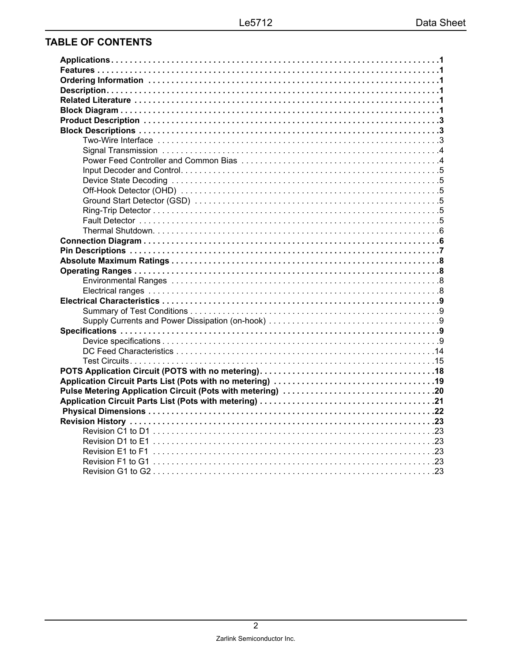# **TABLE OF CONTENTS**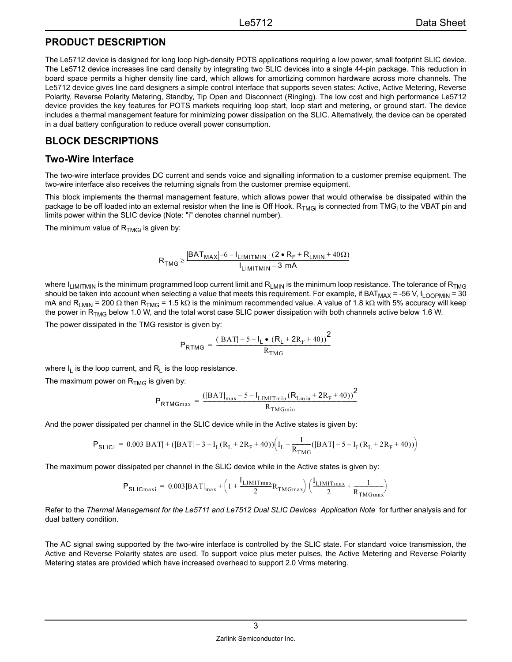#### <span id="page-2-0"></span>**PRODUCT DESCRIPTION**

The Le5712 device is designed for long loop high-density POTS applications requiring a low power, small footprint SLIC device. The Le5712 device increases line card density by integrating two SLIC devices into a single 44-pin package. This reduction in board space permits a higher density line card, which allows for amortizing common hardware across more channels. The Le5712 device gives line card designers a simple control interface that supports seven states: Active, Active Metering, Reverse Polarity, Reverse Polarity Metering, Standby, Tip Open and Disconnect (Ringing). The low cost and high performance Le5712 device provides the key features for POTS markets requiring loop start, loop start and metering, or ground start. The device includes a thermal management feature for minimizing power dissipation on the SLIC. Alternatively, the device can be operated in a dual battery configuration to reduce overall power consumption.

## <span id="page-2-1"></span>**BLOCK DESCRIPTIONS**

#### <span id="page-2-2"></span>**Two-Wire Interface**

The two-wire interface provides DC current and sends voice and signalling information to a customer premise equipment. The two-wire interface also receives the returning signals from the customer premise equipment.

This block implements the thermal management feature, which allows power that would otherwise be dissipated within the package to be off loaded into an external resistor when the line is Off Hook. R<sub>TMGi</sub> is connected from TMG<sub>i</sub> to the VBAT pin and limits power within the SLIC device (Note: "i" denotes channel number).

The minimum value of  $R_{TMGi}$  is given by:

$$
R_{TMG} \geq \frac{\left| BAT_{MAX} \right| - 6 - I_{LIMITMIN} \cdot (2 \cdot R_F + R_{LMIN} + 40 \Omega)}{I_{LIMITMIN} - 3 \cdot mA}
$$

where  $I_{LIMITMIN}$  is the minimum programmed loop current limit and  $R_{LMIN}$  is the minimum loop resistance. The tolerance of  $R_{TMG}$ should be taken into account when selecting a value that meets this requirement. For example, if BAT<sub>MAX</sub> = -56 V, I<sub>LOOPMIN</sub> = 30 mA and R<sub>LMIN</sub> = 200 Ω then R<sub>TMG</sub> = 1.5 kΩ is the minimum recommended value. A value of 1.8 kΩ with 5% accuracy will keep the power in  $R_{TMG}$  below 1.0 W, and the total worst case SLIC power dissipation with both channels active below 1.6 W.

The power dissipated in the TMG resistor is given by:

$$
P_{RTMG} = \frac{\left(|BAT| - 5 - I_L \bullet (R_L + 2R_F + 40)\right)^2}{R_{TMG}}
$$

where  $I_1$  is the loop current, and  $R_1$  is the loop resistance.

The maximum power on  $R_{TMG}$  is given by:

$$
\text{P}_{\text{RTMGmax}} = \frac{\left( \left| \text{BAT} \right|_{\max} - 5 - \text{I}_{\text{LIMITmin}} \left( \text{R}_{\text{Lmin}} + 2 \text{R}_{\text{F}} + 40 \right) \right)^2}{\text{R}_{\text{TMGmin}}}
$$

And the power dissipated per channel in the SLIC device while in the Active states is given by:

$$
P_{\text{SLICi}} = 0.003|BAT| + (|BAT| - 3 - I_{L}(R_{L} + 2R_{F} + 40)) (I_{L} - \frac{I}{R_{TMG}}(|BAT| - 5 - I_{L}(R_{L} + 2R_{F} + 40))
$$

The maximum power dissipated per channel in the SLIC device while in the Active states is given by:

$$
P_{\text{SLICmaxi}} = 0.003|{\text{BAT}}|_{\text{max}} + \left(1 + \frac{I_{\text{LIMITmax}}}{2} R_{\text{TMGmax}}\right) \left(\frac{I_{\text{LIMITmax}}}{2} + \frac{1}{R_{\text{TMGmax}}}\right)
$$

Refer to the *Thermal Management for the Le5711 and Le7512 Dual SLIC Devices Application Note* for further analysis and for dual battery condition.

The AC signal swing supported by the two-wire interface is controlled by the SLIC state. For standard voice transmission, the Active and Reverse Polarity states are used. To support voice plus meter pulses, the Active Metering and Reverse Polarity Metering states are provided which have increased overhead to support 2.0 Vrms metering.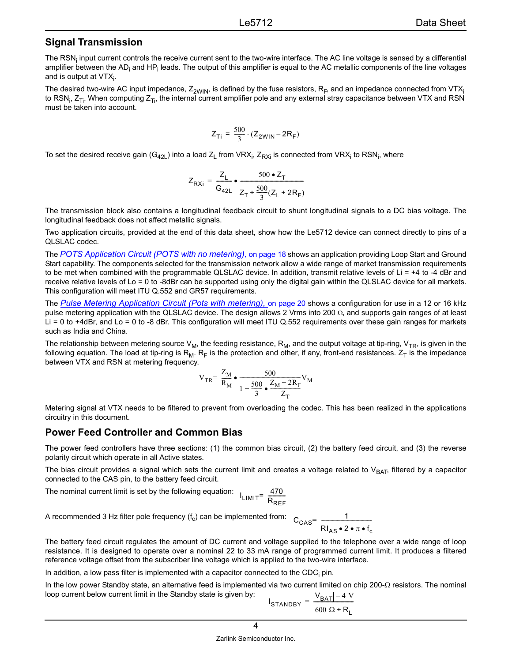#### <span id="page-3-0"></span>**Signal Transmission**

The RSN<sub>i</sub> input current controls the receive current sent to the two-wire interface. The AC line voltage is sensed by a differential amplifier between the AD<sub>i</sub> and HP<sub>i</sub> leads. The output of this amplifier is equal to the AC metallic components of the line voltages and is output at VTX $_{\sf i}$ .

The desired two-wire AC input impedance,  $Z_{2WIN}$ , is defined by the fuse resistors,  $R_F$ , and an impedance connected from VTX<sub>i</sub> to RSN<sub>i</sub>, Z<sub>Ti</sub>. When computing Z<sub>Ti</sub>, the internal current amplifier pole and any external stray capacitance between VTX and RSN must be taken into account.

$$
Z_{Ti} = \frac{500}{3} \cdot (Z_{2WIN} - 2R_F)
$$

To set the desired receive gain (G<sub>42L</sub>) into a load Z<sub>L</sub> from VRX<sub>i</sub>, Z<sub>RXi</sub> is connected from VRX<sub>i</sub> to RSN<sub>i</sub>, where

$$
Z_{\text{RXi}} = \frac{Z_{\text{L}}}{G_{42\text{L}}} \cdot \frac{500 \cdot Z_{\text{T}}}{Z_{\text{T}} + \frac{500}{3}(Z_{\text{L}} + 2R_{\text{F}})}
$$

The transmission block also contains a longitudinal feedback circuit to shunt longitudinal signals to a DC bias voltage. The longitudinal feedback does not affect metallic signals.

Two application circuits, provided at the end of this data sheet, show how the Le5712 device can connect directly to pins of a QLSLAC codec.

The *[POTS Application Circuit \(POTS with no metering\),](#page-17-0)* on page 18 shows an application providing Loop Start and Ground Start capability. The components selected for the transmission network allow a wide range of market transmission requirements to be met when combined with the programmable QLSLAC device. In addition, transmit relative levels of  $Li = +4$  to -4 dBr and receive relative levels of Lo = 0 to -8dBr can be supported using only the digital gain within the QLSLAC device for all markets. This configuration will meet ITU Q.552 and GR57 requirements.

The [Pulse Metering Application Circuit \(Pots with metering\),](#page-19-0) on page 20</u> shows a configuration for use in a 12 or 16 kHz pulse metering application with the QLSLAC device. The design allows 2 Vrms into 200 Ω, and supports gain ranges of at least Li = 0 to +4dBr, and Lo = 0 to -8 dBr. This configuration will meet ITU Q.552 requirements over these gain ranges for markets such as India and China.

The relationship between metering source  $V_M$ , the feeding resistance, R<sub>M</sub>, and the output voltage at tip-ring, V<sub>TR</sub>, is given in the following equation. The load at tip-ring is  $R_M$ .  $R_F$  is the protection and other, if any, front-end resistances.  $Z_T$  is the impedance between VTX and RSN at metering frequency.

$$
V_{TR} = \frac{Z_M}{R_M} \bullet \frac{500}{1 + \frac{500}{3} \bullet \frac{Z_M + 2R_F}{Z_T}} V_M
$$

Metering signal at VTX needs to be filtered to prevent from overloading the codec. This has been realized in the applications circuitry in this document.

#### <span id="page-3-1"></span>**Power Feed Controller and Common Bias**

The power feed controllers have three sections: (1) the common bias circuit, (2) the battery feed circuit, and (3) the reverse polarity circuit which operate in all Active states.

The bias circuit provides a signal which sets the current limit and creates a voltage related to  $V_{BAT}$ , filtered by a capacitor connected to the CAS pin, to the battery feed circuit.

The nominal current limit is set by the following equation: I<sub>LIMIT</sub> 470

$$
T = \frac{470}{R_{REF}}
$$

A recommended 3 Hz filter pole frequency  $(f_c)$  can be implemented from:  $C_{\text{CAS}} = \frac{1}{\sqrt{1 - \frac{1}{\sqrt{1 - \frac{1}{\sqrt{1 - \frac{1}{\sqrt{1 - \frac{1}{\sqrt{1 - \frac{1}{\sqrt{1 - \frac{1}{\sqrt{1 - \frac{1}{\sqrt{1 - \frac{1}{\sqrt{1 + \frac{1}{\sqrt{1 + \frac{1}{\sqrt{1 + \frac{1}{\sqrt{1 + \frac{1}{\sqrt{1 + \frac{1}{\sqrt{1 + \frac{1}{\sqrt{1 + \frac{1}{\sqrt{1 + \frac{1}{\sqrt{1 + \frac{1}{\sqrt{1 + \frac{1}{\sqrt{1 + \frac{1}{\sqrt{1 + \frac{1}{\sqrt{1 + \frac$ 

The battery feed circuit regulates the amount of DC current and voltage supplied to the telephone over a wide range of loop resistance. It is designed to operate over a nominal 22 to 33 mA range of programmed current limit. It produces a filtered reference voltage offset from the subscriber line voltage which is applied to the two-wire interface.

In addition, a low pass filter is implemented with a capacitor connected to the CDC<sub>i</sub> pin.

In the low power Standby state, an alternative feed is implemented via two current limited on chip 200-Ω resistors. The nominal loop current below current limit in the Standby state is given by:

$$
I_{STANDBY} = \frac{|V_{BAT}| - 4 V}{600 \Omega + R_L}
$$

RI<sub>AS</sub>•2•π•f<sub>c</sub> = ----------------------------------------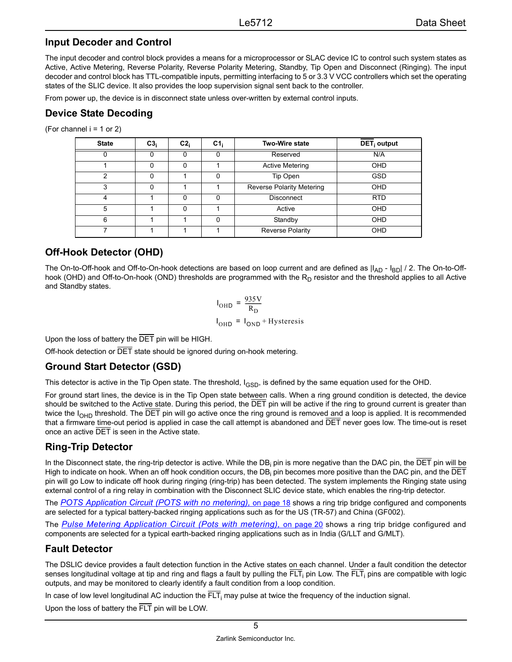#### <span id="page-4-0"></span>**Input Decoder and Control**

The input decoder and control block provides a means for a microprocessor or SLAC device IC to control such system states as Active, Active Metering, Reverse Polarity, Reverse Polarity Metering, Standby, Tip Open and Disconnect (Ringing). The input decoder and control block has TTL-compatible inputs, permitting interfacing to 5 or 3.3 V VCC controllers which set the operating states of the SLIC device. It also provides the loop supervision signal sent back to the controller.

From power up, the device is in disconnect state unless over-written by external control inputs.

## <span id="page-4-1"></span>**Device State Decoding**

(For channel  $i = 1$  or 2)

| <b>State</b> | C3 <sub>i</sub> | $C2_i$ | C1 <sub>i</sub> | Two-Wire state                   | DET <sub>i</sub> output |
|--------------|-----------------|--------|-----------------|----------------------------------|-------------------------|
|              |                 |        |                 | Reserved                         | N/A                     |
|              |                 | 0      |                 | <b>Active Metering</b>           | OHD                     |
| 2            |                 |        | 0               | Tip Open                         | <b>GSD</b>              |
| 3            |                 |        |                 | <b>Reverse Polarity Metering</b> | OHD                     |
| 4            |                 | 0      | 0               | <b>Disconnect</b>                | <b>RTD</b>              |
| 5            |                 | 0      |                 | Active                           | OHD                     |
| 6            |                 |        | ŋ               | Standby                          | OHD                     |
|              |                 |        |                 | <b>Reverse Polarity</b>          | OHD                     |

# <span id="page-4-2"></span>**Off-Hook Detector (OHD)**

The On-to-Off-hook and Off-to-On-hook detections are based on loop current and are defined as  $|I_{AD} - I_{BD}| / 2$ . The On-to-Offhook (OHD) and Off-to-On-hook (OND) thresholds are programmed with the  $R_D$  resistor and the threshold applies to all Active and Standby states.

$$
I_{\text{OHD}} = \frac{935 \text{V}}{R_{\text{D}}}
$$

$$
I_{\text{OHD}} = I_{\text{OND}} + \text{Hysteresis}
$$

Upon the loss of battery the DET pin will be HIGH.

Off-hook detection or DET state should be ignored during on-hook metering.

## <span id="page-4-3"></span>**Ground Start Detector (GSD)**

This detector is active in the Tip Open state. The threshold,  $I_{\rm GSD}$ , is defined by the same equation used for the OHD.

For ground start lines, the device is in the Tip Open state between calls. When a ring ground condition is detected, the device should be switched to the Active state. During this period, the  $\overline{DET}$  pin will be active if the ring to ground current is greater than twice the  $I<sub>OHD</sub>$  threshold. The  $\overline{DET}$  pin will go active once the ring ground is removed and a loop is applied. It is recommended that a firmware time-out period is applied in case the call attempt is abandoned and DET never goes low. The time-out is reset once an active DET is seen in the Active state.

# <span id="page-4-4"></span>**Ring-Trip Detector**

In the Disconnect state, the ring-trip detector is active. While the DB<sub>i</sub> pin is more negative than the DAC pin, the DET pin wi<u>ll be</u> High to indicate on hook. When an off hook condition occurs, the DB<sub>i</sub> pin becomes more positive than the DAC pin, and the DET pin will go Low to indicate off hook during ringing (ring-trip) has been detected. The system implements the Ringing state using external control of a ring relay in combination with the Disconnect SLIC device state, which enables the ring-trip detector.

The *[POTS Application Circuit \(POTS with no metering\),](#page-17-0)* on page 18 shows a ring trip bridge configured and components are selected for a typical battery-backed ringing applications such as for the US (TR-57) and China (GF002).

The *[Pulse Metering Application Circuit \(Pots with metering\),](#page-19-0)* on page 20 shows a ring trip bridge configured and components are selected for a typical earth-backed ringing applications such as in India (G/LLT and G/MLT).

## <span id="page-4-5"></span>**Fault Detector**

The DSLIC device provides a fault detection function in the Active states on each channel. Under a fault condition the detector senses longitudinal voltage at tip and ring and flags a fault by pulling the FLT<sub>i</sub> pin Low. The FLT<sub>i</sub> pins are compatible with logic outputs, and may be monitored to clearly identify a fault condition from a loop condition.

In case of low level longitudinal AC induction the FLT<sub>i</sub> may pulse at twice the frequency of the induction signal.

Upon the loss of battery the FLT pin will be LOW.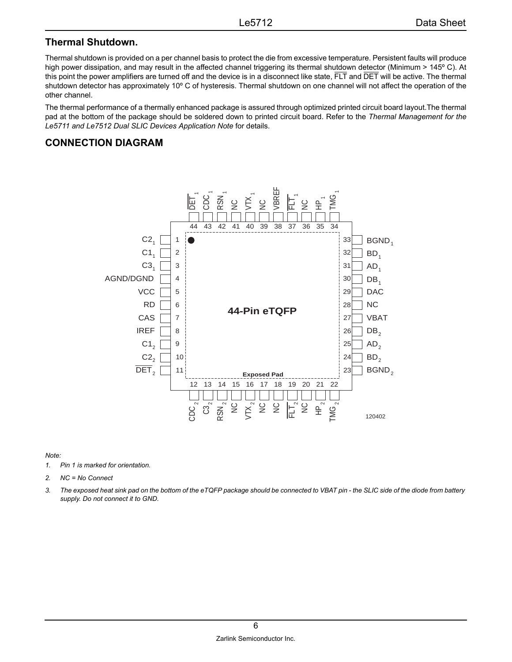#### <span id="page-5-0"></span>**Thermal Shutdown.**

Thermal shutdown is provided on a per channel basis to protect the die from excessive temperature. Persistent faults will produce high power dissipation, and may result in the affected channel triggering its thermal shutdown detector (Minimum > 145°C). At this point the power amplifiers are turned off and the device is in a disconnect like state, FLT and DET will be active. The thermal shutdown detector has approximately 10º C of hysteresis. Thermal shutdown on one channel will not affect the operation of the other channel.

The thermal performance of a thermally enhanced package is assured through optimized printed circuit board layout.The thermal pad at the bottom of the package should be soldered down to printed circuit board. Refer to the *Thermal Management for the Le5711 and Le7512 Dual SLIC Devices Application Note* for details.

#### <span id="page-5-1"></span>**CONNECTION DIAGRAM**



#### *Note:*

- *1. Pin 1 is marked for orientation.*
- *2. NC = No Connect*
- *3. The exposed heat sink pad on the bottom of the eTQFP package should be connected to VBAT pin the SLIC side of the diode from battery supply. Do not connect it to GND.*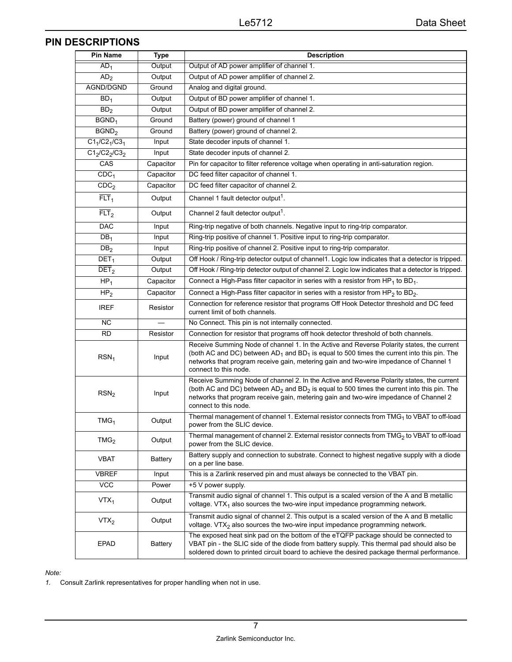# <span id="page-6-0"></span>**PIN DESCRIPTIONS**

| <b>Pin Name</b>    | <b>Type</b> | <b>Description</b>                                                                                                                                                                                                                                                                                             |
|--------------------|-------------|----------------------------------------------------------------------------------------------------------------------------------------------------------------------------------------------------------------------------------------------------------------------------------------------------------------|
| AD <sub>1</sub>    | Output      | Output of AD power amplifier of channel 1.                                                                                                                                                                                                                                                                     |
| AD <sub>2</sub>    | Output      | Output of AD power amplifier of channel 2.                                                                                                                                                                                                                                                                     |
| AGND/DGND          | Ground      | Analog and digital ground.                                                                                                                                                                                                                                                                                     |
| BD <sub>1</sub>    | Output      | Output of BD power amplifier of channel 1.                                                                                                                                                                                                                                                                     |
| BD <sub>2</sub>    | Output      | Output of BD power amplifier of channel 2.                                                                                                                                                                                                                                                                     |
| BGND <sub>1</sub>  | Ground      | Battery (power) ground of channel 1                                                                                                                                                                                                                                                                            |
| BGND <sub>2</sub>  | Ground      | Battery (power) ground of channel 2.                                                                                                                                                                                                                                                                           |
| $C1_1/C2_1/C3_1$   | Input       | State decoder inputs of channel 1.                                                                                                                                                                                                                                                                             |
| $C1_2/C2_2/C3_2$   | Input       | State decoder inputs of channel 2.                                                                                                                                                                                                                                                                             |
| CAS                | Capacitor   | Pin for capacitor to filter reference voltage when operating in anti-saturation region.                                                                                                                                                                                                                        |
| CDC <sub>1</sub>   | Capacitor   | DC feed filter capacitor of channel 1.                                                                                                                                                                                                                                                                         |
| CDC <sub>2</sub>   | Capacitor   | DC feed filter capacitor of channel 2.                                                                                                                                                                                                                                                                         |
| $\overline{FLT}_1$ | Output      | Channel 1 fault detector output <sup>1</sup> .                                                                                                                                                                                                                                                                 |
| $\overline{FLT}_2$ | Output      | Channel 2 fault detector output <sup>1</sup> .                                                                                                                                                                                                                                                                 |
| <b>DAC</b>         | Input       | Ring-trip negative of both channels. Negative input to ring-trip comparator.                                                                                                                                                                                                                                   |
| DB <sub>1</sub>    | Input       | Ring-trip positive of channel 1. Positive input to ring-trip comparator.                                                                                                                                                                                                                                       |
| DB <sub>2</sub>    | Input       | Ring-trip positive of channel 2. Positive input to ring-trip comparator.                                                                                                                                                                                                                                       |
| DEF <sub>1</sub>   | Output      | Off Hook / Ring-trip detector output of channel1. Logic low indicates that a detector is tripped.                                                                                                                                                                                                              |
| DEF <sub>2</sub>   | Output      | Off Hook / Ring-trip detector output of channel 2. Logic low indicates that a detector is tripped.                                                                                                                                                                                                             |
| $HP_1$             | Capacitor   | Connect a High-Pass filter capacitor in series with a resistor from HP <sub>1</sub> to BD <sub>1</sub> .                                                                                                                                                                                                       |
| HP <sub>2</sub>    | Capacitor   | Connect a High-Pass filter capacitor in series with a resistor from HP <sub>2</sub> to BD <sub>2</sub> .                                                                                                                                                                                                       |
| <b>IREF</b>        | Resistor    | Connection for reference resistor that programs Off Hook Detector threshold and DC feed<br>current limit of both channels.                                                                                                                                                                                     |
| <b>NC</b>          |             | No Connect. This pin is not internally connected.                                                                                                                                                                                                                                                              |
| <b>RD</b>          | Resistor    | Connection for resistor that programs off hook detector threshold of both channels.                                                                                                                                                                                                                            |
| $RSN_1$            | Input       | Receive Summing Node of channel 1. In the Active and Reverse Polarity states, the current<br>(both AC and DC) between $AD_1$ and $BD_1$ is equal to 500 times the current into this pin. The<br>networks that program receive gain, metering gain and two-wire impedance of Channel 1<br>connect to this node. |
| RSN <sub>2</sub>   | Input       | Receive Summing Node of channel 2. In the Active and Reverse Polarity states, the current<br>(both AC and DC) between $AD_2$ and $BD_2$ is equal to 500 times the current into this pin. The<br>networks that program receive gain, metering gain and two-wire impedance of Channel 2<br>connect to this node. |
| TMG <sub>1</sub>   | Output      | Thermal management of channel 1. External resistor connects from TMG <sub>1</sub> to VBAT to off-load<br>power from the SLIC device.                                                                                                                                                                           |
| TMG <sub>2</sub>   | Output      | Thermal management of channel 2. External resistor connects from TMG <sub>2</sub> to VBAT to off-load<br>power from the SLIC device.                                                                                                                                                                           |
| <b>VBAT</b>        | Battery     | Battery supply and connection to substrate. Connect to highest negative supply with a diode<br>on a per line base.                                                                                                                                                                                             |
| <b>VBREF</b>       | Input       | This is a Zarlink reserved pin and must always be connected to the VBAT pin.                                                                                                                                                                                                                                   |
| <b>VCC</b>         | Power       | +5 V power supply.                                                                                                                                                                                                                                                                                             |
| $VTX_1$            | Output      | Transmit audio signal of channel 1. This output is a scaled version of the A and B metallic<br>voltage. $VTX_1$ also sources the two-wire input impedance programming network.                                                                                                                                 |
| VTX <sub>2</sub>   | Output      | Transmit audio signal of channel 2. This output is a scaled version of the A and B metallic<br>voltage. VTX <sub>2</sub> also sources the two-wire input impedance programming network.                                                                                                                        |
| <b>EPAD</b>        | Battery     | The exposed heat sink pad on the bottom of the eTQFP package should be connected to<br>VBAT pin - the SLIC side of the diode from battery supply. This thermal pad should also be<br>soldered down to printed circuit board to achieve the desired package thermal performance.                                |

*Note:*

*1.* Consult Zarlink representatives for proper handling when not in use.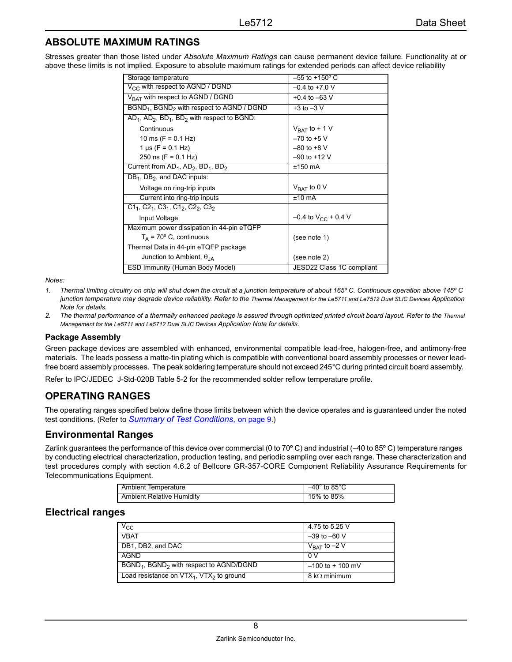## <span id="page-7-0"></span>**ABSOLUTE MAXIMUM RATINGS**

Stresses greater than those listed under *Absolute Maximum Ratings* can cause permanent device failure. Functionality at or above these limits is not implied. Exposure to absolute maximum ratings for extended periods can affect device reliability

| Storage temperature                                               | $-55$ to $+150^{\circ}$ C         |
|-------------------------------------------------------------------|-----------------------------------|
| $V_{CC}$ with respect to AGND / DGND                              | $-0.4$ to $+7.0$ V                |
| $V_{BAT}$ with respect to AGND / DGND                             | $+0.4$ to $-63$ V                 |
| BGND <sub>1</sub> , BGND <sub>2</sub> with respect to AGND / DGND | $+3$ to $-3$ V                    |
| $AD_1$ , $AD_2$ , $BD_1$ , $BD_2$ with respect to BGND:           |                                   |
| Continuous                                                        | $V_{\text{BAT}}$ to + 1 V         |
| 10 ms (F = $0.1$ Hz)                                              | $-70$ to $+5$ V                   |
| 1 $\mu$ s (F = 0.1 Hz)                                            | $-80$ to $+8$ V                   |
| 250 ns (F = $0.1$ Hz)                                             | $-90$ to $+12$ V                  |
| Current from $AD_1$ , $AD_2$ , $BD_1$ , $BD_2$                    | $±150$ mA                         |
| $DB_1$ , $DB_2$ , and DAC inputs:                                 |                                   |
| Voltage on ring-trip inputs                                       | $V_{\text{BAT}}$ to 0 V           |
| Current into ring-trip inputs                                     | $±10$ mA                          |
| $C1_1$ , $C2_1$ , $C3_1$ , $C1_2$ , $C2_2$ , $C3_2$               |                                   |
| Input Voltage                                                     | $-0.4$ to V <sub>CC</sub> + 0.4 V |
| Maximum power dissipation in 44-pin eTQFP                         |                                   |
| $T_A$ = 70 $\degree$ C, continuous                                | (see note 1)                      |
| Thermal Data in 44-pin eTQFP package                              |                                   |
| Junction to Ambient, $\theta_{IA}$                                | (see note 2)                      |
| ESD Immunity (Human Body Model)                                   | JESD22 Class 1C compliant         |

*Notes:*

- *1. Thermal limiting circuitry on chip will shut down the circuit at a junction temperature of about 165º C. Continuous operation above 145º C*  junction temperature may degrade device reliability. Refer to the Thermal Management for the Le5711 and Le7512 Dual SLIC Devices Application *Note for details.*
- *2. The thermal performance of a thermally enhanced package is assured through optimized printed circuit board layout. Refer to the Thermal Management for the Le5711 and Le5712 Dual SLIC Devices Application Note for details.*

#### <span id="page-7-4"></span>**Package Assembly**

Green package devices are assembled with enhanced, environmental compatible lead-free, halogen-free, and antimony-free materials. The leads possess a matte-tin plating which is compatible with conventional board assembly processes or newer leadfree board assembly processes. The peak soldering temperature should not exceed 245°C during printed circuit board assembly.

Refer to IPC/JEDEC J-Std-020B Table 5-2 for the recommended solder reflow temperature profile.

#### <span id="page-7-1"></span>**OPERATING RANGES**

The operating ranges specified below define those limits between which the device operates and is guaranteed under the noted test conditions. (Refer to *[Summary of Test Conditions,](#page-8-1)* on page 9.)

#### <span id="page-7-2"></span>**Environmental Ranges**

Zarlink guarantees the performance of this device over commercial (0 to 70º C) and industrial (−40 to 85º C) temperature ranges by conducting electrical characterization, production testing, and periodic sampling over each range. These characterization and test procedures comply with section 4.6.2 of Bellcore GR-357-CORE Component Reliability Assurance Requirements for Telecommunications Equipment.

| <b>Ambient Temperature</b>       | $-40^\circ$ to 85 $^\circ$ C |
|----------------------------------|------------------------------|
| <b>Ambient Relative Humidity</b> | 15% to 85%                   |

#### <span id="page-7-3"></span>**Electrical ranges**

| $V_{\rm CC}$                                    | 4.75 to 5.25 V              |
|-------------------------------------------------|-----------------------------|
| <b>VBAT</b>                                     | $-39$ to $-60$ V            |
| DB1, DB2, and DAC                               | $V_{\text{BAT}}$ to $-2$ V  |
| AGND                                            | 0 V                         |
| $BGND_1$ , $BGND_2$ with respect to $AGND/DSND$ | $-100$ to $+100$ mV         |
| Load resistance on $VTX_1$ , $VTX_2$ to ground  | $8 \text{ k}\Omega$ minimum |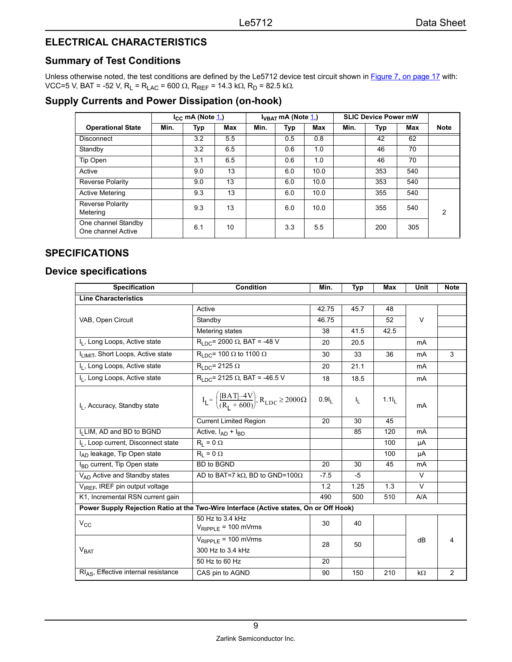# <span id="page-8-0"></span>**ELECTRICAL CHARACTERISTICS**

## <span id="page-8-1"></span>**Summary of Test Conditions**

Unless otherwise noted, the test conditions are defined by the Le5712 device test circuit shown in **Figure 7**, on page 17 with: VCC=5 V, BAT = -52 V, R<sub>L</sub> = R<sub>LAC</sub> = 600 Ω, R<sub>REF</sub> = 14.3 kΩ, R<sub>D</sub> = 82.5 kΩ.

## <span id="page-8-2"></span>**Supply Currents and Power Dissipation (on-hook)**

|                                           |      | $I_{\rm CC}$ mA (Note $1$ .) |     |      | $I_{VBAT}$ mA (Note $\underline{1}$ .) |      | <b>SLIC Device Power mW</b> |     |     |             |
|-------------------------------------------|------|------------------------------|-----|------|----------------------------------------|------|-----------------------------|-----|-----|-------------|
| <b>Operational State</b>                  | Min. | <b>Typ</b>                   | Max | Min. | Typ                                    | Max  | Min.                        | Typ | Max | <b>Note</b> |
| <b>Disconnect</b>                         |      | 3.2                          | 5.5 |      | 0.5                                    | 0.8  |                             | 42  | 62  |             |
| Standby                                   |      | 3.2                          | 6.5 |      | 0.6                                    | 1.0  |                             | 46  | 70  |             |
| Tip Open                                  |      | 3.1                          | 6.5 |      | 0.6                                    | 1.0  |                             | 46  | 70  |             |
| Active                                    |      | 9.0                          | 13  |      | 6.0                                    | 10.0 |                             | 353 | 540 |             |
| Reverse Polarity                          |      | 9.0                          | 13  |      | 6.0                                    | 10.0 |                             | 353 | 540 |             |
| <b>Active Metering</b>                    |      | 9.3                          | 13  |      | 6.0                                    | 10.0 |                             | 355 | 540 |             |
| Reverse Polarity<br>Metering              |      | 9.3                          | 13  |      | 6.0                                    | 10.0 |                             | 355 | 540 | 2           |
| One channel Standby<br>One channel Active |      | 6.1                          | 10  |      | 3.3                                    | 5.5  |                             | 200 | 305 |             |

### <span id="page-8-3"></span>**SPECIFICATIONS**

#### <span id="page-8-4"></span>**Device specifications**

| <b>Specification</b>                            | Condition                                                                              | Min.              | Typ     | Max               | Unit      | <b>Note</b> |
|-------------------------------------------------|----------------------------------------------------------------------------------------|-------------------|---------|-------------------|-----------|-------------|
| <b>Line Characteristics</b>                     |                                                                                        |                   |         |                   |           |             |
|                                                 | Active                                                                                 | 42.75             | 45.7    | 48                |           |             |
| VAB, Open Circuit                               | Standby                                                                                | 46.75             |         | 52                | $\vee$    |             |
|                                                 | Metering states                                                                        | 38                | 41.5    | 42.5              |           |             |
| I <sub>L</sub> , Long Loops, Active state       | $R_{LDC}$ = 2000 Ω, BAT = -48 V                                                        | 20                | 20.5    |                   | mA        |             |
| I <sub>LIMIT</sub> , Short Loops, Active state  | $R_{\text{LOC}}$ = 100 $\Omega$ to 1100 $\Omega$                                       | 30                | 33      | 36                | mA        | 3           |
| I <sub>I</sub> , Long Loops, Active state       | $R_{LDC}$ = 2125 $\Omega$                                                              | 20                | 21.1    |                   | mA        |             |
| I <sub>I</sub> , Long Loops, Active state       | $R_{LDC}$ = 2125 $\Omega$ , BAT = -46.5 V                                              | 18                | 18.5    |                   | mA        |             |
| I <sub>I</sub> , Accuracy, Standby state        | $I_L = \left(\frac{[BAT]-4V}{(R_1 + 600)}, R_{LDC} \ge 2000\Omega\right)$              | 0.9I <sub>1</sub> | $I_{L}$ | 1.1I <sub>1</sub> | mA        |             |
|                                                 | <b>Current Limited Region</b>                                                          | 20                | 30      | 45                |           |             |
| I <sub>I</sub> LIM, AD and BD to BGND           | Active, $I_{AD} + I_{BD}$                                                              |                   | 85      | 120               | mA        |             |
| I <sub>I</sub> , Loop current, Disconnect state | $R_1 = 0 \Omega$                                                                       |                   |         | 100               | μA        |             |
| I <sub>AD</sub> leakage, Tip Open state         | $R_1 = 0 \Omega$                                                                       |                   |         | 100               | μA        |             |
| I <sub>BD</sub> current, Tip Open state         | <b>BD</b> to BGND                                                                      | 20                | 30      | 45                | mA        |             |
| V <sub>AD</sub> Active and Standby states       | AD to BAT=7 k $\Omega$ , BD to GND=100 $\Omega$                                        | $-7.5$            | -5      |                   | $\vee$    |             |
| V <sub>IREF</sub> , IREF pin output voltage     |                                                                                        | 1.2               | 1.25    | 1.3               | $\vee$    |             |
| K1, Incremental RSN current gain                |                                                                                        | 490               | 500     | 510               | A/A       |             |
|                                                 | Power Supply Rejection Ratio at the Two-Wire Interface (Active states, On or Off Hook) |                   |         |                   |           |             |
| $V_{\rm CC}$                                    | 50 Hz to 3.4 kHz<br>$V_{RIPPLE}$ = 100 mVrms                                           | 30                | 40      |                   |           |             |
| $V_{\text{BAT}}$                                | $V_{RIPPLE}$ = 100 mVrms<br>300 Hz to 3.4 kHz                                          | 28                | 50      |                   | dB        |             |
|                                                 | 50 Hz to 60 Hz                                                                         | 20                |         |                   |           |             |
| $RIAS$ , Effective internal resistance          | CAS pin to AGND                                                                        | 90                | 150     | 210               | $k\Omega$ | 2           |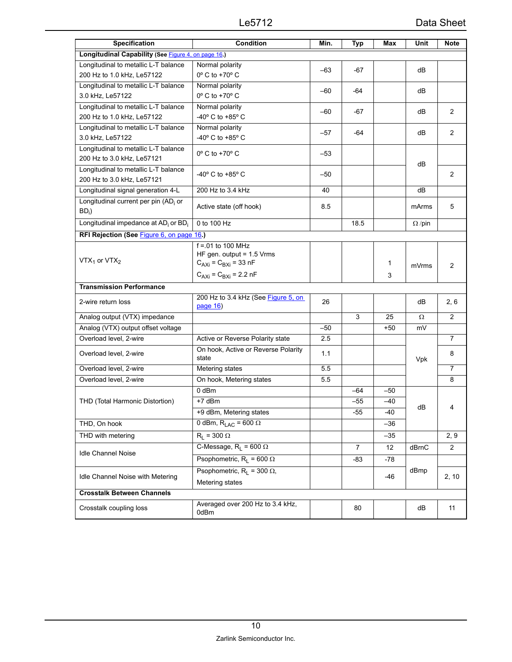| <b>Specification</b>                                         | <b>Condition</b>                                   | Min.  | <b>Typ</b>     | Max   | Unit          | <b>Note</b>    |
|--------------------------------------------------------------|----------------------------------------------------|-------|----------------|-------|---------------|----------------|
| Longitudinal Capability (See Figure 4, on page 16.)          |                                                    |       |                |       |               |                |
| Longitudinal to metallic L-T balance                         | Normal polarity                                    | $-63$ | $-67$          |       | dB            |                |
| 200 Hz to 1.0 kHz, Le57122                                   | $0^\circ$ C to +70 $^\circ$ C                      |       |                |       |               |                |
| Longitudinal to metallic L-T balance                         | Normal polarity                                    | $-60$ | -64            |       | dB            |                |
| 3.0 kHz, Le57122<br>Longitudinal to metallic L-T balance     | $0^\circ$ C to +70 $^\circ$ C                      |       |                |       |               |                |
| 200 Hz to 1.0 kHz, Le57122                                   | Normal polarity<br>-40° C to +85° C                | $-60$ | -67            |       | dВ            | $\overline{2}$ |
| Longitudinal to metallic L-T balance                         | Normal polarity                                    |       |                |       |               |                |
| 3.0 kHz, Le57122                                             | -40° C to +85° C                                   | $-57$ | -64            |       | dB            | $\overline{2}$ |
| Longitudinal to metallic L-T balance                         | $0^\circ$ C to +70 $^\circ$ C                      |       |                |       |               |                |
| 200 Hz to 3.0 kHz, Le57121                                   |                                                    | $-53$ |                |       | dB            |                |
| Longitudinal to metallic L-T balance                         | -40° C to +85° C                                   | $-50$ |                |       |               | 2              |
| 200 Hz to 3.0 kHz, Le57121                                   |                                                    |       |                |       |               |                |
| Longitudinal signal generation 4-L                           | 200 Hz to 3.4 kHz                                  | 40    |                |       | dB            |                |
| Longitudinal current per pin (AD <sub>i</sub> or             | Active state (off hook)                            | 85    |                |       | mArms         | 5              |
| $BD_i)$                                                      |                                                    |       |                |       |               |                |
| Longitudinal impedance at AD <sub>i</sub> or BD <sub>i</sub> | 0 to 100 Hz                                        |       | 18.5           |       | $\Omega$ /pin |                |
| RFI Rejection (See Figure 6, on page 16.)                    |                                                    |       |                |       |               |                |
|                                                              | $f = 01$ to 100 MHz<br>HF gen. output = $1.5$ Vrms |       |                |       |               |                |
| VTX <sub>1</sub> or $VTX_2$                                  | $C_{AXi} = C_{BXi} = 33$ nF                        |       |                | 1     |               | $\overline{2}$ |
|                                                              | $C_{AXi} = C_{BXi} = 2.2$ nF                       |       |                | 3     | mVrms         |                |
| <b>Transmission Performance</b>                              |                                                    |       |                |       |               |                |
|                                                              | 200 Hz to 3.4 kHz (See Figure 5, on                |       |                |       |               |                |
| 2-wire return loss                                           | $pace$ 16)                                         | 26    |                |       | dВ            | 2, 6           |
| Analog output (VTX) impedance                                |                                                    |       | 3              | 25    | Ω             | $\overline{2}$ |
| Analog (VTX) output offset voltage                           |                                                    | $-50$ |                | $+50$ | mV            |                |
| Overload level, 2-wire                                       | Active or Reverse Polarity state                   | 2.5   |                |       |               | 7              |
| Overload level, 2-wire                                       | On hook, Active or Reverse Polarity<br>state       | 1.1   |                |       | Vpk           | 8              |
| Overload level, 2-wire                                       | Metering states                                    | 5.5   |                |       |               | $\overline{7}$ |
| Overload level, 2-wire                                       | On hook, Metering states                           | 5.5   |                |       |               | 8              |
|                                                              | 0 dBm                                              |       | $-64$          | $-50$ |               |                |
| THD (Total Harmonic Distortion)                              | +7 dBm                                             |       | -55            | $-40$ | dB            | 4              |
|                                                              | +9 dBm, Metering states                            |       | -55            | -40   |               |                |
| THD, On hook                                                 | 0 dBm, $R_{LAC} = 600 \Omega$                      |       |                | -36   |               |                |
| THD with metering                                            | $R_1 = 300 \Omega$                                 |       |                | $-35$ |               | 2, 9           |
|                                                              | C-Message, $R_L = 600 \Omega$                      |       | $\overline{7}$ | 12    | dBrnC         | 2              |
| <b>Idle Channel Noise</b>                                    | Psophometric, $R_L = 600 \Omega$                   |       | -83            | -78   |               |                |
|                                                              | Psophometric, $R_1 = 300 \Omega$ ,                 |       |                |       | dBmp          |                |
| Idle Channel Noise with Metering                             | Metering states                                    |       |                | -46   |               | 2, 10          |
| <b>Crosstalk Between Channels</b>                            |                                                    |       |                |       |               |                |
| Crosstalk coupling loss                                      | Averaged over 200 Hz to 3.4 kHz,<br>0dBm           |       | 80             |       | dB            | 11             |
|                                                              |                                                    |       |                |       |               |                |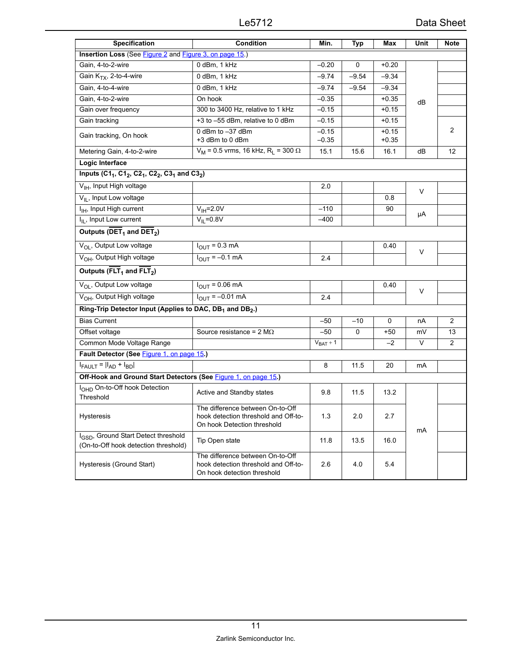| <b>Specification</b>                                                                                                  | Condition                                                                                               | Min.               | <b>Typ</b> | Max                | Unit   | Note           |
|-----------------------------------------------------------------------------------------------------------------------|---------------------------------------------------------------------------------------------------------|--------------------|------------|--------------------|--------|----------------|
| Insertion Loss (See Figure 2 and Figure 3, on page 15.)                                                               |                                                                                                         |                    |            |                    |        |                |
| Gain, 4-to-2-wire                                                                                                     | 0 dBm, 1 kHz                                                                                            | $-0.20$            | 0          | $+0.20$            |        |                |
| Gain K <sub>TX</sub> , 2-to-4-wire                                                                                    | 0 dBm, 1 kHz                                                                                            | $-9.74$            | $-9.54$    | $-9.34$            |        |                |
| Gain, 4-to-4-wire                                                                                                     | 0 dBm, 1 kHz                                                                                            | $-9.74$            | $-9.54$    | $-9.34$            |        |                |
| Gain, 4-to-2-wire                                                                                                     | On hook                                                                                                 | $-0.35$            |            | $+0.35$            | dB     |                |
| Gain over frequency                                                                                                   | 300 to 3400 Hz, relative to 1 kHz                                                                       | $-0.15$            |            | $+0.15$            |        |                |
| Gain tracking                                                                                                         | +3 to -55 dBm, relative to 0 dBm                                                                        | $-0.15$            |            | $+0.15$            |        |                |
| Gain tracking, On hook                                                                                                | 0 dBm to -37 dBm<br>+3 dBm to 0 dBm                                                                     | $-0.15$<br>$-0.35$ |            | $+0.15$<br>$+0.35$ |        | $\overline{2}$ |
| Metering Gain, 4-to-2-wire                                                                                            | $V_M$ = 0.5 vrms, 16 kHz, R <sub>L</sub> = 300 $\Omega$                                                 | 15.1               | 15.6       | 16.1               | dB     | 12             |
| Logic Interface                                                                                                       |                                                                                                         |                    |            |                    |        |                |
| Inputs (C1 <sub>1</sub> , C1 <sub>2</sub> , C2 <sub>1</sub> , C2 <sub>2</sub> , C3 <sub>1</sub> and C3 <sub>2</sub> ) |                                                                                                         |                    |            |                    |        |                |
| V <sub>IH</sub> , Input High voltage                                                                                  |                                                                                                         | 2.0                |            |                    |        |                |
| V <sub>IL</sub> , Input Low voltage                                                                                   |                                                                                                         |                    |            | 0.8                | $\vee$ |                |
| I <sub>IH</sub> , Input High current                                                                                  | $V_{IH} = 2.0V$                                                                                         | $-110$             |            | 90                 |        |                |
| I <sub>IL</sub> , Input Low current                                                                                   | $V_{II} = 0.8V$                                                                                         | $-400$             |            |                    | μA     |                |
| Outputs ( $\overline{\text{DET}}_1$ and $\overline{\text{DET}}_2$ )                                                   |                                                                                                         |                    |            |                    |        |                |
| V <sub>OL</sub> , Output Low voltage                                                                                  | $I_{OUT} = 0.3$ mA                                                                                      |                    |            | 0.40               |        |                |
| V <sub>OH</sub> , Output High voltage                                                                                 | $I_{\text{OUT}} = -0.1 \text{ mA}$                                                                      | 2.4                |            |                    | V      |                |
| Outputs ( $\overline{FLT}_1$ and $\overline{FLT}_2$ )                                                                 |                                                                                                         |                    |            |                    |        |                |
| V <sub>OL</sub> , Output Low voltage                                                                                  | $I_{OUT} = 0.06 \text{ mA}$                                                                             |                    |            | 0.40               |        |                |
| V <sub>OH</sub> , Output High voltage                                                                                 | $I_{\text{OUT}} = -0.01 \text{ mA}$                                                                     | 2.4                |            |                    | $\vee$ |                |
| Ring-Trip Detector Input (Applies to DAC, DB <sub>1</sub> and DB <sub>2</sub> .)                                      |                                                                                                         |                    |            |                    |        |                |
| <b>Bias Current</b>                                                                                                   |                                                                                                         | $-50$              | $-10$      | $\Omega$           | nA     | $\overline{2}$ |
| Offset voltage                                                                                                        | Source resistance = $2 M\Omega$                                                                         | $-50$              | 0          | $+50$              | mV     | 13             |
| Common Mode Voltage Range                                                                                             |                                                                                                         | $V_{BAT} + 1$      |            | $-2$               | V      | 2              |
| Fault Detector (See Figure 1, on page 15.)                                                                            |                                                                                                         |                    |            |                    |        |                |
| $I_{FAULT} =  \overline{I_{AD} + I_{BD}} $                                                                            |                                                                                                         | 8                  | 11.5       | 20                 | mA     |                |
| Off-Hook and Ground Start Detectors (See Figure 1, on page 15.)                                                       |                                                                                                         |                    |            |                    |        |                |
| I <sub>OHD</sub> On-to-Off hook Detection<br>Threshold                                                                | Active and Standby states                                                                               | 9.8                | 11.5       | 13.2               |        |                |
| Hysteresis                                                                                                            | The difference between On-to-Off<br>hook detection threshold and Off-to-<br>On hook Detection threshold | 1.3                | 2.0        | 2.7                | mA     |                |
| I <sub>GSD</sub> , Ground Start Detect threshold<br>(On-to-Off hook detection threshold)                              | Tip Open state                                                                                          | 11.8               | 13.5       | 16.0               |        |                |
| Hysteresis (Ground Start)                                                                                             | The difference between On-to-Off<br>hook detection threshold and Off-to-<br>On hook detection threshold | 2.6                | 4.0        | 5.4                |        |                |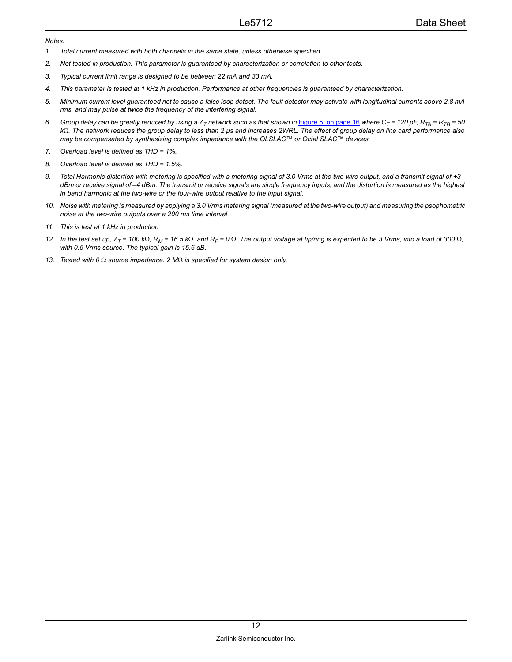#### *Notes:*

- <span id="page-11-0"></span>*1. Total current measured with both channels in the same state, unless otherwise specified.*
- *2. Not tested in production. This parameter is guaranteed by characterization or correlation to other tests.*
- *3. Typical current limit range is designed to be between 22 mA and 33 mA.*
- *4. This parameter is tested at 1 kHz in production. Performance at other frequencies is guaranteed by characterization.*
- *5. Minimum current level guaranteed not to cause a false loop detect. The fault detector may activate with longitudinal currents above 2.8 mA rms, and may pulse at twice the frequency of the interfering signal.*
- 6. Group delay can be greatly reduced by using a  $Z_T$  network such as that shown in **Figure 5**, on page 16 where  $C_T$  = 120 pF,  $R_{TA}$  =  $R_{TB}$  = 50 *k*Ω*. The network reduces the group delay to less than 2 µs and increases 2WRL. The effect of group delay on line card performance also may be compensated by synthesizing complex impedance with the QLSLAC™ or Octal SLAC™ devices.*
- *7. Overload level is defined as THD = 1%,*
- *8. Overload level is defined as THD = 1.5%.*
- *9. Total Harmonic distortion with metering is specified with a metering signal of 3.0 Vrms at the two-wire output, and a transmit signal of +3 dBm or receive signal of –4 dBm. The transmit or receive signals are single frequency inputs, and the distortion is measured as the highest in band harmonic at the two-wire or the four-wire output relative to the input signal.*
- *10. Noise with metering is measured by applying a 3.0 Vrms metering signal (measured at the two-wire output) and measuring the psophometric noise at the two-wire outputs over a 200 ms time interval*
- *11. This is test at 1 kHz in production*
- *12. In the test set up, ZT = 100 k*Ω*, RM = 16.5 k*Ω*, and RF = 0* Ω*. The output voltage at tip/ring is expected to be 3 Vrms, into a load of 300* Ω*, with 0.5 Vrms source. The typical gain is 15.6 dB.*
- *13. Tested with 0* Ω *source impedance. 2 M*Ω *is specified for system design only.*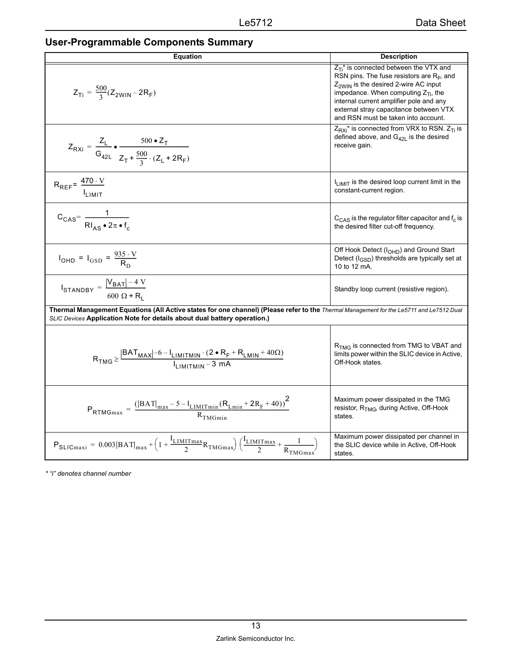| <b>Equation</b>                                                                                                                                                                                                      | <b>Description</b>                                                                                                                                                                                                                                                                                                      |
|----------------------------------------------------------------------------------------------------------------------------------------------------------------------------------------------------------------------|-------------------------------------------------------------------------------------------------------------------------------------------------------------------------------------------------------------------------------------------------------------------------------------------------------------------------|
| $Z_{Ti} = \frac{500}{3} (Z_{2WIN} - 2R_F)$                                                                                                                                                                           | $Z_{Ti}^*$ is connected between the VTX and<br>RSN pins. The fuse resistors are $R_F$ , and<br>Z <sub>2WIN</sub> is the desired 2-wire AC input<br>impedance. When computing $Z_{Ti}$ , the<br>internal current amplifier pole and any<br>external stray capacitance between VTX<br>and RSN must be taken into account. |
| $Z_{\text{RX}i} = \frac{Z_{\text{L}}}{G_{42\text{L}}} \cdot \frac{500 \cdot Z_{\text{T}}}{Z_{\text{T}} + \frac{500}{3} \cdot (Z_{\text{L}} + 2R_{\text{F}})}$                                                        | $Z_{RXi}^*$ is connected from VRX to RSN. $Z_{Ti}$ is<br>defined above, and $G_{42L}$ is the desired<br>receive gain.                                                                                                                                                                                                   |
| $R_{REF} = \frac{470 \cdot V}{I_{LIMIT}}$                                                                                                                                                                            | I <sub>LIMIT</sub> is the desired loop current limit in the<br>constant-current region.                                                                                                                                                                                                                                 |
| $C_{\text{CAS}} = \frac{1}{Rl_{\text{AS}} \cdot 2\pi \cdot f_{\text{S}}}$                                                                                                                                            | $C_{\text{CAS}}$ is the regulator filter capacitor and $f_c$ is<br>the desired filter cut-off frequency.                                                                                                                                                                                                                |
| $I_{\text{OHD}} = I_{\text{GSD}} = \frac{935 \cdot V}{R_{\text{D}}}$                                                                                                                                                 | Off Hook Detect (I <sub>OHD</sub> ) and Ground Start<br>Detect $(l_{\text{GSD}})$ thresholds are typically set at<br>10 to 12 mA.                                                                                                                                                                                       |
| $I_{\text{STANDBY}} = \frac{ V_{\text{BAT}}  - 4 \text{ V}}{600 \Omega + R_1}$                                                                                                                                       | Standby loop current (resistive region).                                                                                                                                                                                                                                                                                |
| Thermal Management Equations (All Active states for one channel) (Please refer to the Thermal Management for the Le5711 and Le7512 Dual<br>SLIC Devices Application Note for details about dual battery operation.)  |                                                                                                                                                                                                                                                                                                                         |
| $R_{\text{TMG}} \geq \frac{\left \text{BAT}_{\text{MAX}}\right  - 6 - I_{\text{LIMITMIN}} \cdot (2 \cdot R_{\text{F}} + R_{\text{LMIN}} + 40\Omega)}{I_{\text{LIMITMIN}} - 3 \text{ mA}}$                            | R <sub>TMG</sub> is connected from TMG to VBAT and<br>limits power within the SLIC device in Active,<br>Off-Hook states.                                                                                                                                                                                                |
| $P_{\text{RTMGmax}} = \frac{( \text{BAT} _{\text{max}} - 5 - \text{I}_{\text{LIMITmin}}(\text{R}_{\text{Lmin}} + 2\text{R}_{\text{F}} + 40))^{2}}{R_{\text{TMGmin}}}$                                                | Maximum power dissipated in the TMG<br>resistor, R <sub>TMG</sub> , during Active, Off-Hook<br>states.                                                                                                                                                                                                                  |
| $P_{\text{SLICmaxi}} = 0.003 \left  \text{BAT} \right _{\text{max}} + \left( 1 + \frac{I_{\text{LIMITmax}}}{2} R_{\text{TMGmax}} \right) \left( \frac{I_{\text{LIMITmax}}}{2} + \frac{1}{R_{\text{TMGmax}}} \right)$ | Maximum power dissipated per channel in<br>the SLIC device while in Active, Off-Hook<br>states.                                                                                                                                                                                                                         |

*\* "i" denotes channel number*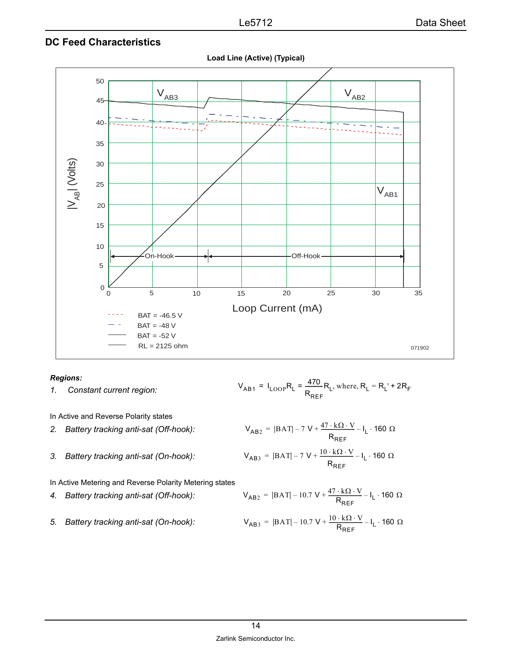#### <span id="page-13-0"></span>**DC Feed Characteristics**



**Load Line (Active) (Typical)**

#### *Regions:*

*1. Constant current region:* 

In Active and Reverse Polarity states

- *2. Battery tracking anti-sat (Off-hook):*
- *3. Battery tracking anti-sat (On-hook):*

In Active Metering and Reverse Polarity Metering states

- *4. Battery tracking anti-sat (Off-hook):*
- *5. Battery tracking anti-sat (On-hook):*

$$
V_{AB1} = I_{LOOP}R_L = \frac{470}{R_{REF}}R_L
$$
, where,  $R_L = R_L' + 2R_F$ 

$$
V_{AB2} = |BAT| - 7 V + \frac{47 \cdot k\Omega \cdot V}{R_{REF}} - I_{L} \cdot 160 \Omega
$$
  

$$
V_{AB3} = |BAT| - 7 V + \frac{10 \cdot k\Omega \cdot V}{R_{REF}} - I_{L} \cdot 160 \Omega
$$

$$
V_{AB2} = |BAT| - 10.7 V + \frac{47 \cdot k\Omega \cdot V}{R_{REF}} - I_{L} \cdot 160 \Omega
$$

$$
V_{AB3} = |BAT| - 10.7 V + \frac{10 \cdot k\Omega \cdot V}{R_{REF}} - I_{L} \cdot 160 \Omega
$$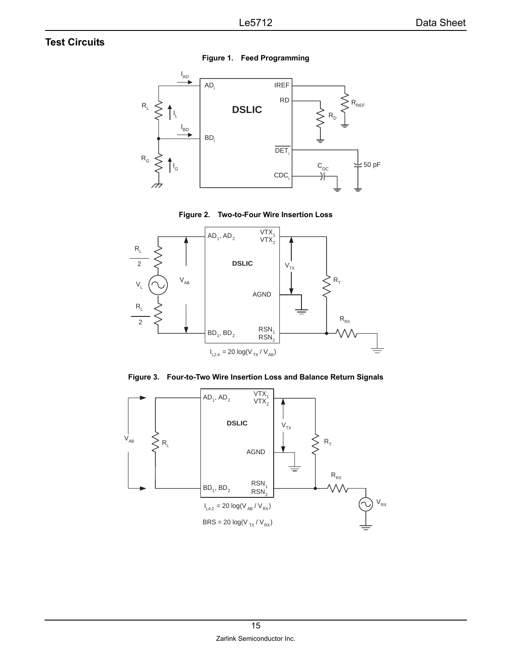## <span id="page-14-3"></span><span id="page-14-0"></span>**Test Circuits**



**Figure 1. Feed Programming**



<span id="page-14-1"></span>

**Figure 3. Four-to-Two Wire Insertion Loss and Balance Return Signals**

<span id="page-14-2"></span>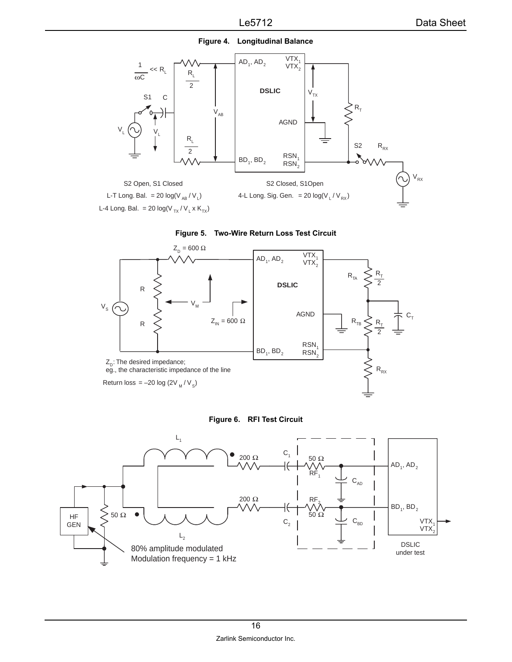

<span id="page-15-0"></span>



<span id="page-15-2"></span>



<span id="page-15-1"></span>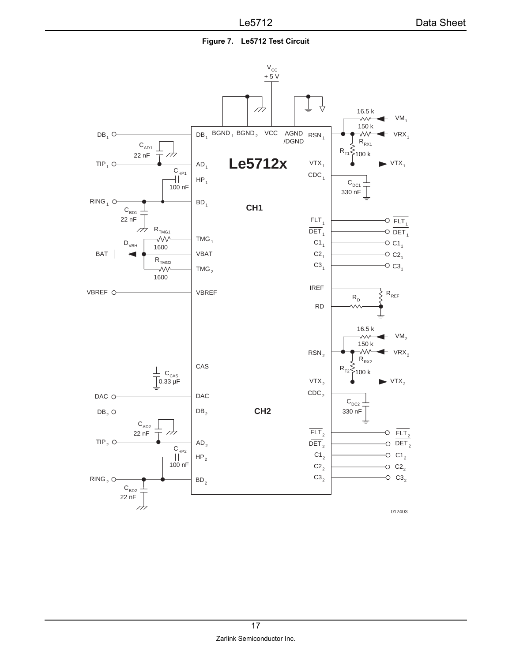**Figure 7. Le5712 Test Circuit**

<span id="page-16-0"></span>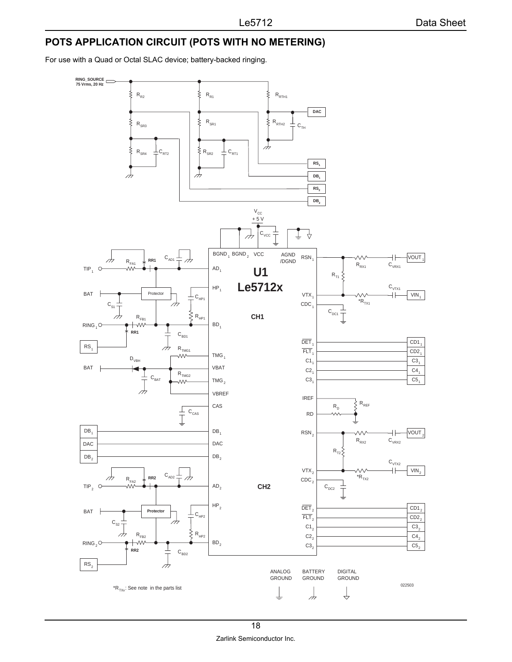# <span id="page-17-0"></span>**POTS APPLICATION CIRCUIT (POTS WITH NO METERING)**

For use with a Quad or Octal SLAC device; battery-backed ringing.

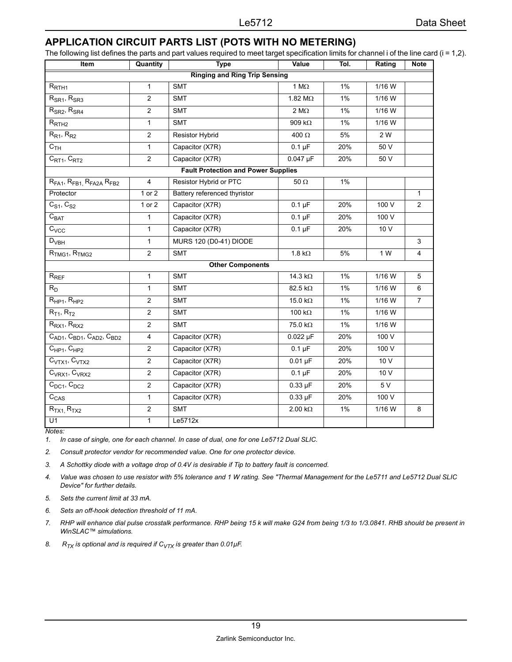# <span id="page-18-0"></span>**APPLICATION CIRCUIT PARTS LIST (POTS WITH NO METERING)**

The following list defines the parts and part values required to meet target specification limits for channel i of the line card (i = 1,2).

| Item                                          | Quantity<br><b>Type</b> |                                            | Value                  | Tol.         | Rating   | <b>Note</b>    |  |  |
|-----------------------------------------------|-------------------------|--------------------------------------------|------------------------|--------------|----------|----------------|--|--|
| <b>Ringing and Ring Trip Sensing</b>          |                         |                                            |                        |              |          |                |  |  |
| $R_{\rm RTH1}$                                | $\mathbf{1}$            | <b>SMT</b>                                 | 1 M $\Omega$           | 1%<br>1/16 W |          |                |  |  |
| $R_{SR1}$ , $R_{SR3}$                         | 2                       | <b>SMT</b>                                 | 1.82 M $\Omega$        | $1\%$        | $1/16$ W |                |  |  |
| $R_{SR2}$ , $R_{SR4}$                         | $\overline{2}$          | <b>SMT</b>                                 | 2 M $\Omega$           | 1%           | $1/16$ W |                |  |  |
| $R_{\text{RTH2}}$                             | 1                       | <b>SMT</b>                                 | 909 $k\Omega$          | 1%           | 1/16 W   |                |  |  |
| $R_{R1}$ , $R_{R2}$                           | $\overline{2}$          | Resistor Hybrid                            | 400 Ω                  | 5%           | 2 W      |                |  |  |
| C <sub>TH</sub>                               | $\mathbf{1}$            | Capacitor (X7R)                            | $0.1 \mu F$            | 20%          | 50 V     |                |  |  |
| $C_{RT1}$ , $C_{RT2}$                         | $\overline{c}$          | Capacitor (X7R)                            | $0.047$ µF             | 20%          | 50 V     |                |  |  |
|                                               |                         | <b>Fault Protection and Power Supplies</b> |                        |              |          |                |  |  |
| $RFA1$ , $RFB1$ , $RFA2A$ , $RFB2$            | $\overline{4}$          | Resistor Hybrid or PTC                     | 50 $\Omega$            | 1%           |          |                |  |  |
| Protector                                     | 1 or 2                  | Battery referenced thyristor               |                        |              |          | $\mathbf{1}$   |  |  |
| $C_{S1}$ , $C_{S2}$                           | 1 or 2                  | Capacitor (X7R)                            | $0.1 \mu F$            | 20%          | 100 V    | 2              |  |  |
| $C_{BAT}$                                     | $\mathbf{1}$            | Capacitor (X7R)                            | $0.1 \mu F$            | 20%          | 100 V    |                |  |  |
| $C_{VCC}$                                     | $\mathbf{1}$            | Capacitor (X7R)                            | $0.1 \mu F$<br>20%     |              | 10 V     |                |  |  |
| $D_{VBH}$                                     | $\mathbf{1}$            | MURS 120 (D0-41) DIODE                     |                        |              |          | 3              |  |  |
| $RTMG1$ , $RTMG2$                             | $\overline{c}$          | <b>SMT</b>                                 | 1.8 $k\Omega$          | 5%           | 1 W      | $\overline{4}$ |  |  |
|                                               |                         | <b>Other Components</b>                    |                        |              |          |                |  |  |
| $R_{REF}$                                     | $\mathbf{1}$            | <b>SMT</b>                                 | 14.3 k $\Omega$        | 1%           | 1/16 W   | 5              |  |  |
| $R_D$                                         | $\mathbf{1}$            | <b>SMT</b>                                 | 1%<br>82.5 k $\Omega$  |              | 1/16 W   | 6              |  |  |
| $R_{HP1}$ , $R_{HP2}$                         | $\overline{c}$          | <b>SMT</b>                                 | 15.0 k $\Omega$        | 1%<br>1/16 W |          | $\overline{7}$ |  |  |
| $R_{T1}$ , $R_{T2}$                           | 2                       | <b>SMT</b>                                 | 100 $k\Omega$<br>$1\%$ |              | $1/16$ W |                |  |  |
| $R_{RX1}$ , $R_{RX2}$                         | $\overline{2}$          | <b>SMT</b>                                 | 75.0 kΩ                | 1%           | 1/16 W   |                |  |  |
| $C_{AD1}$ , $C_{BD1}$ , $C_{AD2}$ , $C_{BD2}$ | $\overline{\mathbf{4}}$ | Capacitor (X7R)                            | $0.022 \mu F$          | 20%          | 100 V    |                |  |  |
| $C_{HP1}$ , $C_{HP2}$                         | $\overline{2}$          | Capacitor (X7R)                            | $0.1 \mu F$            | 20%          | 100 V    |                |  |  |
| C <sub>VTX1</sub> , C <sub>VTX2</sub>         | $\overline{2}$          | $0.01 \mu F$<br>Capacitor (X7R)<br>20%     |                        | 10 V         |          |                |  |  |
| $C_{VRX1}$ , $C_{VRX2}$                       | 2                       | Capacitor (X7R)<br>$0.1 \mu F$<br>20%      |                        | 10 V         |          |                |  |  |
| $C_{DC1}$ , $C_{DC2}$                         | $\overline{2}$          | $0.33 \mu F$<br>Capacitor (X7R)<br>20%     |                        |              | 5 V      |                |  |  |
| $C_{CAS}$                                     | 1                       | Capacitor (X7R)                            | $0.33 \mu F$           | 20%          | 100 V    |                |  |  |
| $R_{TX1}$ , $R_{TX2}$                         | $\overline{2}$          | <b>SMT</b>                                 | $2.00 \text{ k}\Omega$ | 1%           | 1/16 W   | 8              |  |  |
| $\overline{U}$ 1                              | $\mathbf{1}$            | Le5712x                                    |                        |              |          |                |  |  |

*Notes:*

*1. In case of single, one for each channel. In case of dual, one for one Le5712 Dual SLIC.* 

*2. Consult protector vendor for recommended value. One for one protector device.* 

*3. A Schottky diode with a voltage drop of 0.4V is desirable if Tip to battery fault is concerned.*

*4. Value was chosen to use resistor with 5% tolerance and 1 W rating. See "Thermal Management for the Le5711 and Le5712 Dual SLIC Device" for further details.*

*5. Sets the current limit at 33 mA.*

*6. Sets an off-hook detection threshold of 11 mA.*

*7. RHP will enhance dial pulse crosstalk performance. RHP being 15 k will make G24 from being 1/3 to 1/3.0841. RHB should be present in WinSLAC™ simulations.*

8.  $R_{TX}$  is optional and is required if  $C_{VTX}$  is greater than 0.01 $\mu$ F.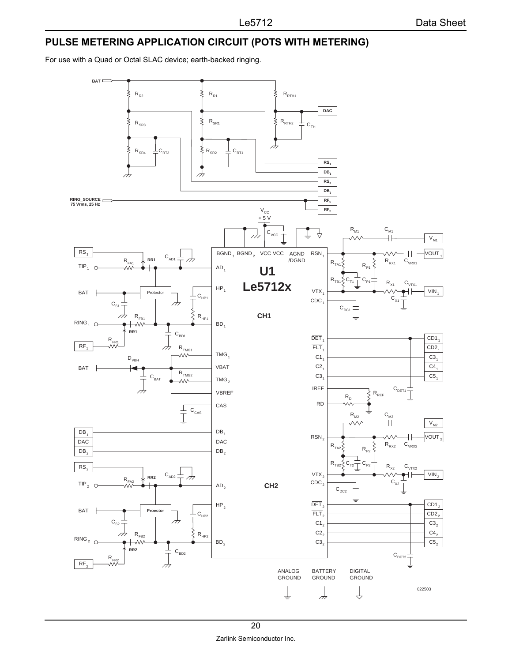# <span id="page-19-0"></span>**PULSE METERING APPLICATION CIRCUIT (POTS WITH METERING)**

For use with a Quad or Octal SLAC device; earth-backed ringing.

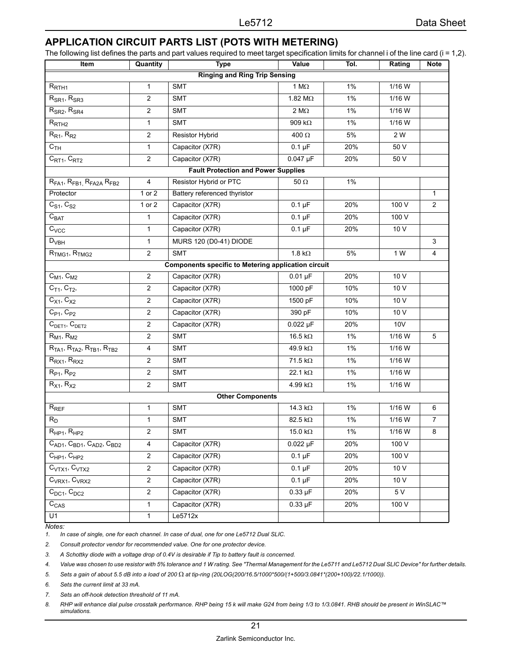# <span id="page-20-0"></span>**APPLICATION CIRCUIT PARTS LIST (POTS WITH METERING)**

The following list defines the parts and part values required to meet target specification limits for channel i of the line card (i = 1,2).

| Item                                                     | Quantity                                   | <b>Type</b>                                                | Value                  | Tol.  | Rating     | <b>Note</b>    |  |  |  |
|----------------------------------------------------------|--------------------------------------------|------------------------------------------------------------|------------------------|-------|------------|----------------|--|--|--|
| <b>Ringing and Ring Trip Sensing</b>                     |                                            |                                                            |                        |       |            |                |  |  |  |
| $R_{RTH1}$                                               | $\mathbf{1}$                               | <b>SMT</b>                                                 | 1 $M\Omega$            | 1%    | 1/16 W     |                |  |  |  |
| $R_{SR1}$ , $R_{SR3}$                                    | $\overline{c}$                             | <b>SMT</b>                                                 | 1.82 $M\Omega$         | 1%    | 1/16 W     |                |  |  |  |
| $R_{SR2}$ , $R_{SR4}$                                    | $\overline{c}$                             | <b>SMT</b>                                                 | 2 M $\Omega$           | $1\%$ | 1/16 W     |                |  |  |  |
| $R_{\text{RTH2}}$                                        | $\mathbf{1}$                               | <b>SMT</b>                                                 | 909 $k\Omega$          | 1%    | 1/16 W     |                |  |  |  |
| $R_{R1}$ , $R_{R2}$                                      | $\overline{2}$                             | Resistor Hybrid                                            | 400 $\Omega$           | 5%    | 2 W        |                |  |  |  |
| C <sub>TH</sub>                                          | $\mathbf{1}$                               | Capacitor (X7R)                                            | $0.1 \mu F$            | 20%   | 50 V       |                |  |  |  |
| C <sub>RT1</sub> , C <sub>RT2</sub>                      | $\overline{c}$                             | Capacitor (X7R)                                            | $0.047$ µF             | 20%   | 50 V       |                |  |  |  |
|                                                          | <b>Fault Protection and Power Supplies</b> |                                                            |                        |       |            |                |  |  |  |
| $RFA1$ , $RFB1$ , $RFA2A$ , $RFB2$                       | $\overline{\mathbf{4}}$                    | Resistor Hybrid or PTC                                     | $50\ \Omega$           | 1%    |            |                |  |  |  |
| Protector                                                | 1 or 2                                     | Battery referenced thyristor                               |                        |       |            | $\mathbf{1}$   |  |  |  |
| $C_{S1}$ , $C_{S2}$                                      | 1 or 2                                     | Capacitor (X7R)                                            | $0.1 \mu F$            | 20%   | 100 V      | $\overline{2}$ |  |  |  |
| $C_{BAT}$                                                | $\mathbf{1}$                               | Capacitor (X7R)                                            | $0.1 \mu F$            | 20%   | 100 V      |                |  |  |  |
| $C_{VCC}$                                                | $\mathbf{1}$                               | Capacitor (X7R)                                            | $0.1 \mu F$            | 20%   | 10 V       |                |  |  |  |
| $D_{VBH}$                                                | $\mathbf{1}$                               | MURS 120 (D0-41) DIODE                                     |                        |       |            | $\mathsf 3$    |  |  |  |
| R <sub>TMG1</sub> , R <sub>TMG2</sub>                    | 2                                          | <b>SMT</b>                                                 | 1.8 k $\Omega$         | 5%    | 1 W        | 4              |  |  |  |
|                                                          |                                            | <b>Components specific to Metering application circuit</b> |                        |       |            |                |  |  |  |
| $C_{M1}$ , $C_{M2}$                                      | $\overline{c}$                             | Capacitor (X7R)                                            | $0.01 \mu F$           | 20%   | 10 V       |                |  |  |  |
| $C_{T1}$ , $C_{T2}$ ,                                    | $\overline{c}$                             | Capacitor (X7R)                                            | 1000 pF                | 10%   | 10 V       |                |  |  |  |
| $C_{X1}$ , $C_{X2}$                                      | $\overline{c}$                             | Capacitor (X7R)                                            | 1500 pF                | 10%   | 10 V       |                |  |  |  |
| $C_{P1}$ , $C_{P2}$                                      | $\overline{c}$                             | Capacitor (X7R)                                            | 390 pF                 | 10%   | 10 V       |                |  |  |  |
| C <sub>DET1</sub> , C <sub>DET2</sub>                    | $\overline{c}$                             | Capacitor (X7R)                                            | $0.022 \mu F$          | 20%   | <b>10V</b> |                |  |  |  |
| $R_{M1}$ , $R_{M2}$                                      | $\overline{c}$                             | <b>SMT</b>                                                 | 16.5 k $\Omega$        | $1\%$ | 1/16 W     | 5              |  |  |  |
| $R_{TA1}$ , $R_{TA2}$ , $R_{TB1}$ , $R_{TB2}$            | 4                                          | <b>SMT</b>                                                 | 49.9 kΩ                | $1\%$ | 1/16 W     |                |  |  |  |
| $R_{RX1}$ , $R_{RX2}$                                    | $\overline{c}$                             | <b>SMT</b>                                                 | $71.5 \text{ k}\Omega$ | $1\%$ | 1/16 W     |                |  |  |  |
| $R_{P1}$ , $R_{P2}$                                      | $\overline{c}$                             | <b>SMT</b>                                                 | 22.1 k $\Omega$        | 1%    | 1/16 W     |                |  |  |  |
| $R_{X1}$ , $R_{X2}$                                      | $\overline{2}$                             | <b>SMT</b>                                                 | 4.99 k $\Omega$        | 1%    | 1/16 W     |                |  |  |  |
|                                                          |                                            | <b>Other Components</b>                                    |                        |       |            |                |  |  |  |
| $R_{REF}$                                                | $\mathbf{1}$                               | <b>SMT</b>                                                 | 14.3 k $\Omega$        | 1%    | 1/16 W     | 6              |  |  |  |
| $R_D$                                                    | $\mathbf{1}$                               | <b>SMT</b>                                                 | 82.5 k $\Omega$        | 1%    | 1/16 W     | 7              |  |  |  |
| $R_{HP1}$ , $R_{HP2}$                                    | $\overline{c}$                             | <b>SMT</b>                                                 | $15.0 \text{ k}\Omega$ | $1\%$ | 1/16 W     | 8              |  |  |  |
| $\overline{C_{AD1}}$ , $C_{BD1}$ , $C_{AD2}$ , $C_{BD2}$ | 4                                          | Capacitor (X7R)                                            | $0.022 \mu F$          | 20%   | 100 V      |                |  |  |  |
| $C_{HP1}$ , $C_{HP2}$                                    | $\overline{c}$                             | Capacitor (X7R)<br>$0.1 \mu F$<br>20%                      |                        | 100 V |            |                |  |  |  |
| $C_{VTX1}$ , $C_{VTX2}$                                  | $\overline{2}$                             | $0.1 \mu F$<br>Capacitor (X7R)<br>20%                      |                        |       | 10 V       |                |  |  |  |
| $C_{VRX1}$ , $C_{VRX2}$                                  | $\overline{2}$                             | Capacitor (X7R)                                            | $0.1 \mu F$            | 20%   | 10 V       |                |  |  |  |
| $C_{DC1}$ , $C_{DC2}$                                    | $\overline{2}$                             | Capacitor (X7R)                                            | $0.33 \mu F$           | 20%   | 5 V        |                |  |  |  |
| $C_{CAS}$                                                | $\mathbf{1}$                               | Capacitor (X7R)                                            | $0.33 \mu F$           | 20%   | 100 V      |                |  |  |  |
| U1<br>$N = \frac{1}{2}$                                  | 1                                          | Le <sub>5712x</sub>                                        |                        |       |            |                |  |  |  |

#### *Notes:*

*1. In case of single, one for each channel. In case of dual, one for one Le5712 Dual SLIC.* 

*2. Consult protector vendor for recommended value. One for one protector device.* 

*3. A Schottky diode with a voltage drop of 0.4V is desirable if Tip to battery fault is concerned.*

*4. Value was chosen to use resistor with 5% tolerance and 1 W rating. See "Thermal Management for the Le5711 and Le5712 Dual SLIC Device" for further details.*

*5. Sets a gain of about 5.5 dB into a load of 200* Ω *at tip-ring (20LOG(200/16.5/1000\*500/(1+500/3.0841\*(200+100)/22.1/1000)).*

*6. Sets the current limit at 33 mA.*

*7. Sets an off-hook detection threshold of 11 mA.*

*8. RHP will enhance dial pulse crosstalk performance. RHP being 15 k will make G24 from being 1/3 to 1/3.0841. RHB should be present in WinSLAC™ simulations.*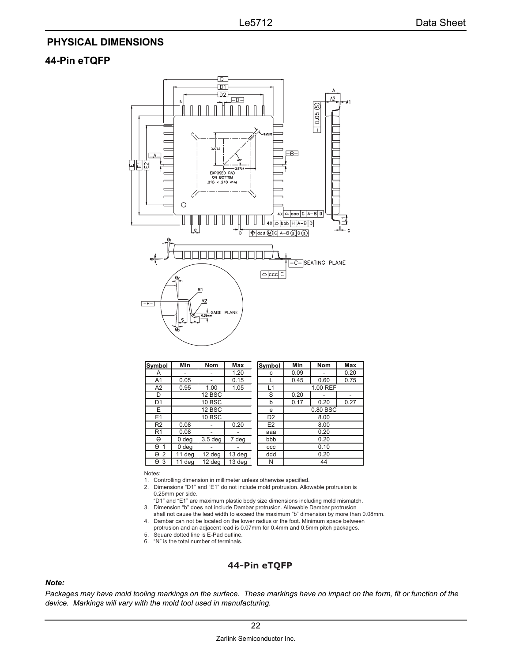## <span id="page-21-0"></span>**PHYSICAL DIMENSIONS**

#### **44-Pin eTQFP**



| Symbol                     | Min           | Nom                | Max    | Symbol         | Min                  | <b>Nom</b> | Max  |  |
|----------------------------|---------------|--------------------|--------|----------------|----------------------|------------|------|--|
| A                          |               |                    | 1.20   | C              | 0.09                 |            | 0.20 |  |
| A1                         | 0.05          |                    | 0.15   |                | 0.45                 | 0.60       | 0.75 |  |
| A2                         | 0.95          | 1.00               | 1.05   | L1             | 1.00 REF             |            |      |  |
| D                          | 12 BSC        |                    |        | S              | 0.20<br>۰            |            |      |  |
| D <sub>1</sub>             | 10 BSC        |                    |        | b              | 0.17<br>0.20<br>0.27 |            |      |  |
| E.                         | 12 BSC        |                    |        | e              | 0.80 BSC             |            |      |  |
| E1                         | <b>10 BSC</b> |                    |        | D <sub>2</sub> | 8.00                 |            |      |  |
| R <sub>2</sub>             | 0.08          |                    | 0.20   | E <sub>2</sub> | 8.00                 |            |      |  |
| R <sub>1</sub>             | 0.08          |                    | -      | aaa            | 0.20                 |            |      |  |
| θ                          | 0 deg         | 3.5 <sub>deg</sub> | 7 deg  | bbb            | 0.20                 |            |      |  |
| $\Theta$<br>1              | 0 deg         |                    |        | CCC            | 0.10                 |            |      |  |
| $\Theta$<br>$\overline{2}$ | 11 deg        | $12$ deg           | 13 deg | ddd            | 0.20                 |            |      |  |
| $\Theta$ 3                 | 11 deg        | 12 deg             | 13 deg | N              | 44                   |            |      |  |

Notes:

- 1. Controlling dimension in millimeter unless otherwise specified.
- 2. Dimensions "D1" and "E1" do not include mold protrusion. Allowable protrusion is 0.25mm per side.
- "D1" and "E1" are maximum plastic body size dimensions including mold mismatch. 3. Dimension "b" does not include Dambar protrusion. Allowable Dambar protrusion
- shall not cause the lead width to exceed the maximum "b" dimension by more than 0.08mm. 4. Dambar can not be located on the lower radius or the foot. Minimum space between
- protrusion and an adjacent lead is 0.07mm for 0.4mm and 0.5mm pitch packages. 5. Square dotted line is E-Pad outline.
- 6. "N" is the total number of terminals.

#### **44-Pin eTQFP**

#### *Note:*

*Packages may have mold tooling markings on the surface. These markings have no impact on the form, fit or function of the device. Markings will vary with the mold tool used in manufacturing.*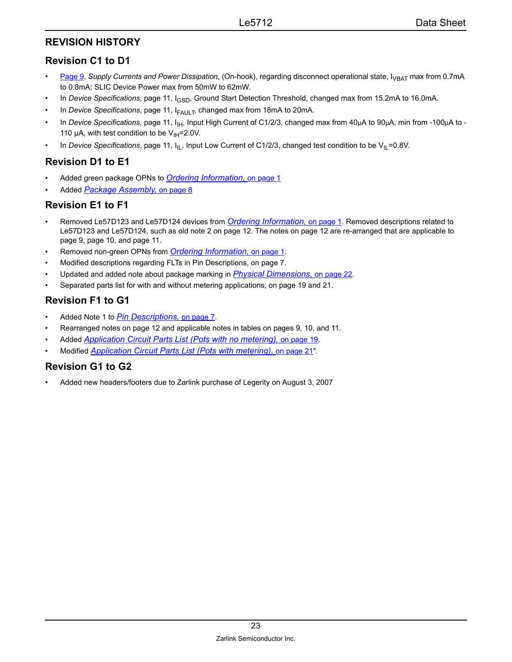## <span id="page-22-0"></span>**REVISION HISTORY**

## <span id="page-22-1"></span>**Revision C1 to D1**

- **[Page 9](#page-8-2), Supply Currents and Power Dissipation, (On-hook), regarding disconnect operational state, I<sub>VBAT</sub> max from 0.7mA** to 0.8mA; SLIC Device Power max from 50mW to 62mW.
- In *Device Specifications*, page 11, I<sub>GSD</sub>, Ground Start Detection Threshold, changed max from 15.2mA to 16.0mA.
- In *Device Specifications*, page 11, I<sub>FAULT</sub>, changed max from 18mA to 20mA.
- In *Device Specifications*, page 11, I<sub>IH</sub>, Input High Current of C1/2/3, changed max from 40μA to 90μA, min from -100μA to -110  $\mu$ A, with test condition to be V<sub>IH</sub>=2.0V.
- In *Device Specifications*, page 11,  $I_{\text{IL}}$ , Input Low Current of C1/2/3, changed test condition to be V<sub>IL</sub>=0.8V.

# <span id="page-22-2"></span>**Revision D1 to E1**

- Added green package OPNs to *[Ordering Information,](#page-0-2)* on page 1
- Added *[Package Assembly,](#page-7-4)* on page 8

### <span id="page-22-3"></span>**Revision E1 to F1**

- Removed Le57D123 and Le57D124 devices from *[Ordering Information,](#page-0-2)* on page 1. Removed descriptions related to Le57D123 and Le57D124, such as old note 2 on page 12. The notes on page 12 are re-arranged that are applicable to page 9, page 10, and page 11.
- Removed non-green OPNs from *[Ordering Information,](#page-0-2)* on page 1.
- Modified descriptions regarding FLTs in Pin Descriptions, on page 7.
- Updated and added note about package marking in *[Physical Dimensions,](#page-21-0)* on page 22.
- Separated parts list for with and without metering applications, on page 19 and 21.

# <span id="page-22-4"></span>**Revision F1 to G1**

- Added Note 1 to *[Pin Descriptions,](#page-6-0)* on page 7.
- Rearranged notes on page 12 and applicable notes in tables on pages 9, 10, and 11.
- Added *[Application Circuit Parts List \(Pots with no metering\),](#page-18-0)* on page 19.
- Modified *[Application Circuit Parts List \(Pots with metering\),](#page-20-0)* on page 21".

#### <span id="page-22-5"></span>**Revision G1 to G2**

• Added new headers/footers due to Zarlink purchase of Legerity on August 3, 2007